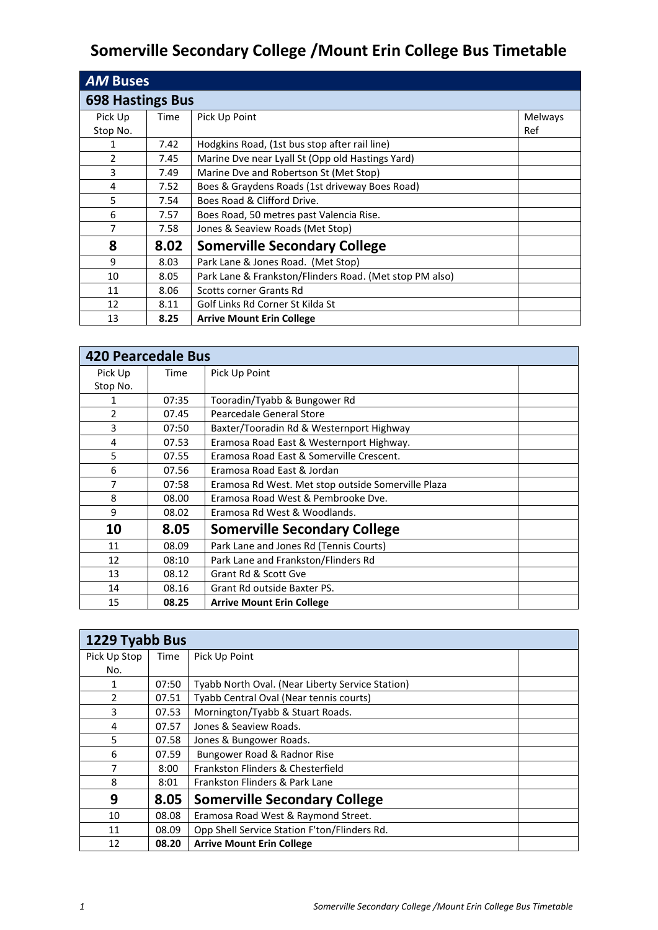## **Somerville Secondary College /Mount Erin College Bus Timetable**

| <b>AM Buses</b>         |      |                                                         |                |  |
|-------------------------|------|---------------------------------------------------------|----------------|--|
| <b>698 Hastings Bus</b> |      |                                                         |                |  |
| Pick Up                 | Time | Pick Up Point                                           | <b>Melways</b> |  |
| Stop No.                |      |                                                         | Ref            |  |
|                         | 7.42 | Hodgkins Road, (1st bus stop after rail line)           |                |  |
| $\overline{2}$          | 7.45 | Marine Dve near Lyall St (Opp old Hastings Yard)        |                |  |
| 3                       | 7.49 | Marine Dve and Robertson St (Met Stop)                  |                |  |
| 4                       | 7.52 | Boes & Graydens Roads (1st driveway Boes Road)          |                |  |
| 5                       | 7.54 | Boes Road & Clifford Drive.                             |                |  |
| 6                       | 7.57 | Boes Road, 50 metres past Valencia Rise.                |                |  |
| 7                       | 7.58 | Jones & Seaview Roads (Met Stop)                        |                |  |
| 8                       | 8.02 | <b>Somerville Secondary College</b>                     |                |  |
| 9                       | 8.03 | Park Lane & Jones Road. (Met Stop)                      |                |  |
| 10                      | 8.05 | Park Lane & Frankston/Flinders Road. (Met stop PM also) |                |  |
| 11                      | 8.06 | Scotts corner Grants Rd                                 |                |  |
| 12                      | 8.11 | Golf Links Rd Corner St Kilda St                        |                |  |
| 13                      | 8.25 | <b>Arrive Mount Erin College</b>                        |                |  |

| <b>420 Pearcedale Bus</b> |       |                                                    |  |  |
|---------------------------|-------|----------------------------------------------------|--|--|
| Pick Up                   | Time  | Pick Up Point                                      |  |  |
| Stop No.                  |       |                                                    |  |  |
|                           | 07:35 | Tooradin/Tyabb & Bungower Rd                       |  |  |
| 2                         | 07.45 | Pearcedale General Store                           |  |  |
| 3                         | 07:50 | Baxter/Tooradin Rd & Westernport Highway           |  |  |
| 4                         | 07.53 | Eramosa Road East & Westernport Highway.           |  |  |
| 5                         | 07.55 | Eramosa Road East & Somerville Crescent.           |  |  |
| 6                         | 07.56 | Eramosa Road East & Jordan                         |  |  |
| 7                         | 07:58 | Eramosa Rd West. Met stop outside Somerville Plaza |  |  |
| 8                         | 08.00 | Eramosa Road West & Pembrooke Dve.                 |  |  |
| 9                         | 08.02 | Eramosa Rd West & Woodlands.                       |  |  |
| 10                        | 8.05  | <b>Somerville Secondary College</b>                |  |  |
| 11                        | 08.09 | Park Lane and Jones Rd (Tennis Courts)             |  |  |
| 12                        | 08:10 | Park Lane and Frankston/Flinders Rd                |  |  |
| 13                        | 08.12 | Grant Rd & Scott Gve                               |  |  |
| 14                        | 08.16 | Grant Rd outside Baxter PS.                        |  |  |
| 15                        | 08.25 | <b>Arrive Mount Erin College</b>                   |  |  |

| 1229 Tyabb Bus |       |                                                  |  |  |
|----------------|-------|--------------------------------------------------|--|--|
| Pick Up Stop   | Time  | Pick Up Point                                    |  |  |
| No.            |       |                                                  |  |  |
| 1              | 07:50 | Tyabb North Oval. (Near Liberty Service Station) |  |  |
| $\mathcal{P}$  | 07.51 | Tyabb Central Oval (Near tennis courts)          |  |  |
| 3              | 07.53 | Mornington/Tyabb & Stuart Roads.                 |  |  |
| 4              | 07.57 | Jones & Seaview Roads.                           |  |  |
| 5              | 07.58 | Jones & Bungower Roads.                          |  |  |
| 6              | 07.59 | Bungower Road & Radnor Rise                      |  |  |
| 7              | 8:00  | Frankston Flinders & Chesterfield                |  |  |
| 8              | 8:01  | Frankston Flinders & Park Lane                   |  |  |
| 9              | 8.05  | <b>Somerville Secondary College</b>              |  |  |
| 10             | 08.08 | Eramosa Road West & Raymond Street.              |  |  |
| 11             | 08.09 | Opp Shell Service Station F'ton/Flinders Rd.     |  |  |
| 12             | 08.20 | <b>Arrive Mount Erin College</b>                 |  |  |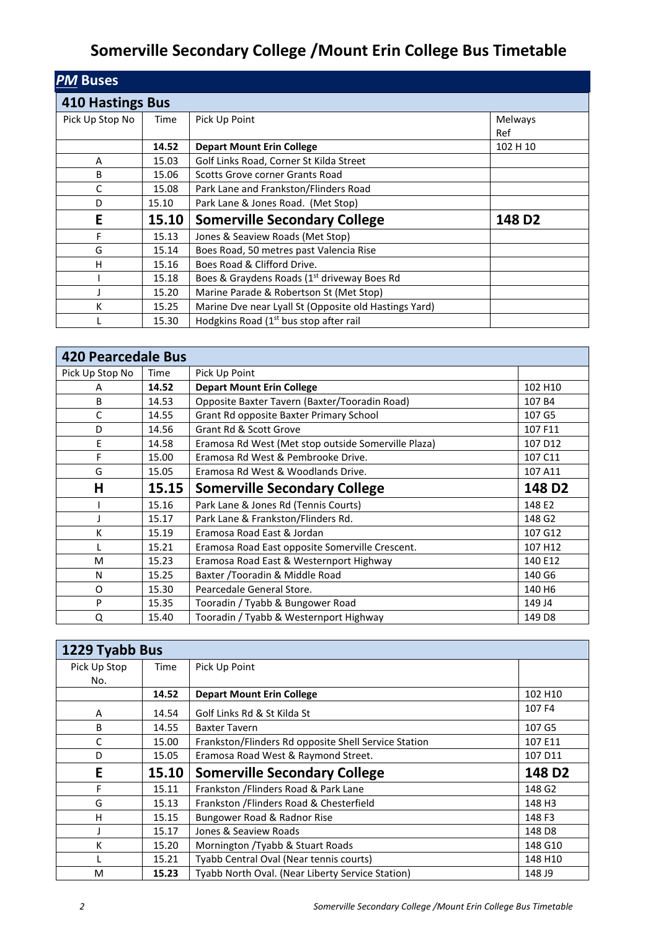## **Somerville Secondary College /Mount Erin College Bus Timetable**

| <b>PM Buses</b>         |       |                                                         |                    |  |
|-------------------------|-------|---------------------------------------------------------|--------------------|--|
| <b>410 Hastings Bus</b> |       |                                                         |                    |  |
| Pick Up Stop No         | Time  | Pick Up Point                                           | Melways<br>Ref     |  |
|                         | 14.52 | <b>Depart Mount Erin College</b>                        | 102 H 10           |  |
| A                       | 15.03 | Golf Links Road, Corner St Kilda Street                 |                    |  |
| B                       | 15.06 | Scotts Grove corner Grants Road                         |                    |  |
| C                       | 15.08 | Park Lane and Frankston/Flinders Road                   |                    |  |
| D                       | 15.10 | Park Lane & Jones Road. (Met Stop)                      |                    |  |
| E                       | 15.10 | <b>Somerville Secondary College</b>                     | 148 D <sub>2</sub> |  |
| F                       | 15.13 | Jones & Seaview Roads (Met Stop)                        |                    |  |
| G                       | 15.14 | Boes Road, 50 metres past Valencia Rise                 |                    |  |
| н                       | 15.16 | Boes Road & Clifford Drive.                             |                    |  |
|                         | 15.18 | Boes & Graydens Roads (1 <sup>st</sup> driveway Boes Rd |                    |  |
|                         | 15.20 | Marine Parade & Robertson St (Met Stop)                 |                    |  |
| K                       | 15.25 | Marine Dve near Lyall St (Opposite old Hastings Yard)   |                    |  |
|                         | 15.30 | Hodgkins Road $(1st$ bus stop after rail                |                    |  |

| <b>420 Pearcedale Bus</b> |       |                                                     |                    |
|---------------------------|-------|-----------------------------------------------------|--------------------|
| Pick Up Stop No           | Time  | Pick Up Point                                       |                    |
| A                         | 14.52 | <b>Depart Mount Erin College</b>                    | 102 H10            |
| B                         | 14.53 | Opposite Baxter Tavern (Baxter/Tooradin Road)       | 107 B4             |
| C                         | 14.55 | Grant Rd opposite Baxter Primary School             | 107 G5             |
| D                         | 14.56 | Grant Rd & Scott Grove                              | 107 F11            |
| E                         | 14.58 | Eramosa Rd West (Met stop outside Somerville Plaza) | 107 D12            |
| F                         | 15.00 | Eramosa Rd West & Pembrooke Drive.                  | 107 C11            |
| G                         | 15.05 | Eramosa Rd West & Woodlands Drive.                  | 107 A11            |
| н                         | 15.15 | <b>Somerville Secondary College</b>                 | 148 D <sub>2</sub> |
|                           | 15.16 | Park Lane & Jones Rd (Tennis Courts)                | 148 E2             |
|                           | 15.17 | Park Lane & Frankston/Flinders Rd.                  | 148 G2             |
| К                         | 15.19 | Eramosa Road East & Jordan                          | 107 G12            |
|                           | 15.21 | Eramosa Road East opposite Somerville Crescent.     | 107 H12            |
| M                         | 15.23 | Eramosa Road East & Westernport Highway             | 140 E12            |
| N                         | 15.25 | Baxter / Tooradin & Middle Road                     | 140 G6             |
| O                         | 15.30 | Pearcedale General Store.                           | 140 H <sub>6</sub> |
| P                         | 15.35 | Tooradin / Tyabb & Bungower Road                    | 149 J4             |
| Q                         | 15.40 | Tooradin / Tyabb & Westernport Highway              | 149 D8             |

| 1229 Tyabb Bus |       |                                                      |                    |
|----------------|-------|------------------------------------------------------|--------------------|
| Pick Up Stop   | Time  | Pick Up Point                                        |                    |
| No.            |       |                                                      |                    |
|                | 14.52 | <b>Depart Mount Erin College</b>                     | 102 H10            |
| A              | 14.54 | Golf Links Rd & St Kilda St                          | 107 F4             |
| B              | 14.55 | <b>Baxter Tavern</b>                                 | 107 G5             |
| C              | 15.00 | Frankston/Flinders Rd opposite Shell Service Station | 107 E11            |
| D              | 15.05 | Eramosa Road West & Raymond Street.                  | 107 D11            |
| E              | 15.10 | <b>Somerville Secondary College</b>                  | 148 D <sub>2</sub> |
| F              | 15.11 | Frankston / Flinders Road & Park Lane                | 148 G2             |
| G              | 15.13 | Frankston / Flinders Road & Chesterfield             | 148 H3             |
| H              | 15.15 | Bungower Road & Radnor Rise                          | 148 F3             |
|                | 15.17 | Jones & Seaview Roads                                | 148 D8             |
| К              | 15.20 | Mornington /Tyabb & Stuart Roads                     | 148 G10            |
|                | 15.21 | Tyabb Central Oval (Near tennis courts)              | 148 H10            |
| м              | 15.23 | Tyabb North Oval. (Near Liberty Service Station)     | 148 J9             |